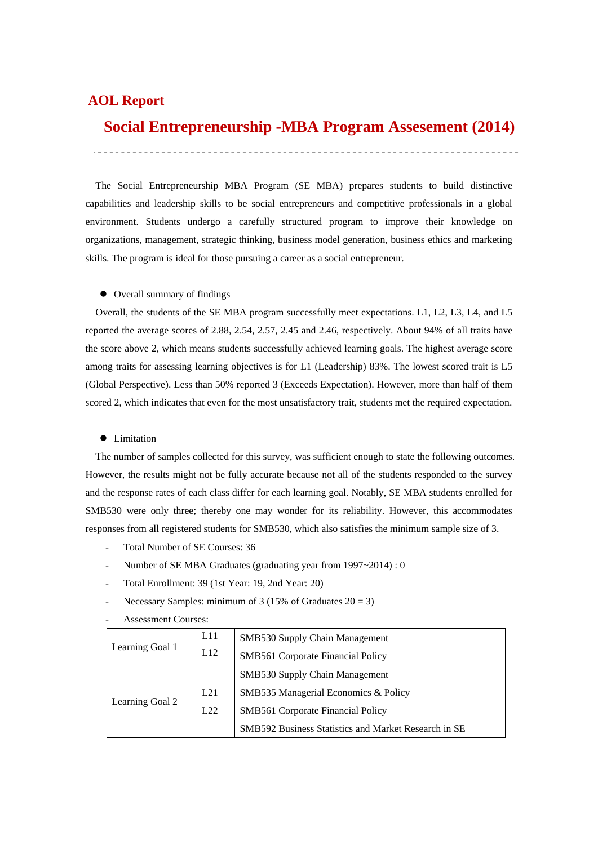## **AOL Report**

## **Social Entrepreneurship -MBA Program Assesement (2014)**

 The Social Entrepreneurship MBA Program (SE MBA) prepares students to build distinctive capabilities and leadership skills to be social entrepreneurs and competitive professionals in a global environment. Students undergo a carefully structured program to improve their knowledge on organizations, management, strategic thinking, business model generation, business ethics and marketing skills. The program is ideal for those pursuing a career as a social entrepreneur.

#### $\bullet$  Overall summary of findings

 Overall, the students of the SE MBA program successfully meet expectations. L1, L2, L3, L4, and L5 reported the average scores of 2.88, 2.54, 2.57, 2.45 and 2.46, respectively. About 94% of all traits have the score above 2, which means students successfully achieved learning goals. The highest average score among traits for assessing learning objectives is for L1 (Leadership) 83%. The lowest scored trait is L5 (Global Perspective). Less than 50% reported 3 (Exceeds Expectation). However, more than half of them scored 2, which indicates that even for the most unsatisfactory trait, students met the required expectation.

#### • Limitation

 The number of samples collected for this survey, was sufficient enough to state the following outcomes. However, the results might not be fully accurate because not all of the students responded to the survey and the response rates of each class differ for each learning goal. Notably, SE MBA students enrolled for SMB530 were only three; thereby one may wonder for its reliability. However, this accommodates responses from all registered students for SMB530, which also satisfies the minimum sample size of 3.

- Total Number of SE Courses: 36
- Number of SE MBA Graduates (graduating year from 1997~2014) : 0
- Total Enrollment: 39 (1st Year: 19, 2nd Year: 20)
- Necessary Samples: minimum of  $3(15\% \text{ of Graduates } 20 = 3)$
- Assessment Courses:

| Learning Goal 1 | L11 | <b>SMB530 Supply Chain Management</b>                |  |  |
|-----------------|-----|------------------------------------------------------|--|--|
|                 | L12 | SMB561 Corporate Financial Policy                    |  |  |
|                 |     | SMB530 Supply Chain Management                       |  |  |
| Learning Goal 2 | L21 | SMB535 Managerial Economics & Policy                 |  |  |
|                 | L22 | <b>SMB561</b> Corporate Financial Policy             |  |  |
|                 |     | SMB592 Business Statistics and Market Research in SE |  |  |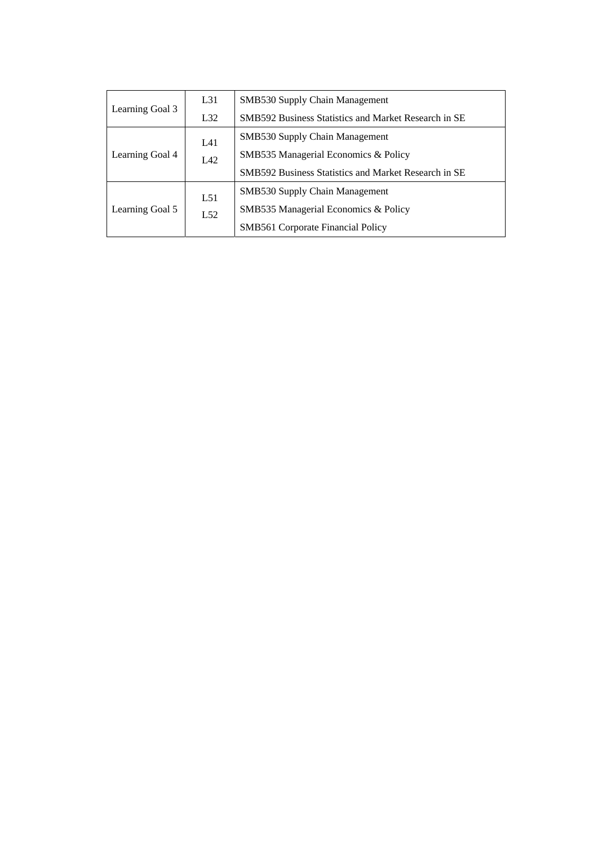|                 | L31 | <b>SMB530 Supply Chain Management</b>                |  |  |
|-----------------|-----|------------------------------------------------------|--|--|
| Learning Goal 3 | L32 | SMB592 Business Statistics and Market Research in SE |  |  |
| L41             |     | <b>SMB530 Supply Chain Management</b>                |  |  |
| Learning Goal 4 | L42 | SMB535 Managerial Economics & Policy                 |  |  |
|                 |     | SMB592 Business Statistics and Market Research in SE |  |  |
|                 | L51 | <b>SMB530 Supply Chain Management</b>                |  |  |
| Learning Goal 5 | L52 | SMB535 Managerial Economics & Policy                 |  |  |
|                 |     | <b>SMB561 Corporate Financial Policy</b>             |  |  |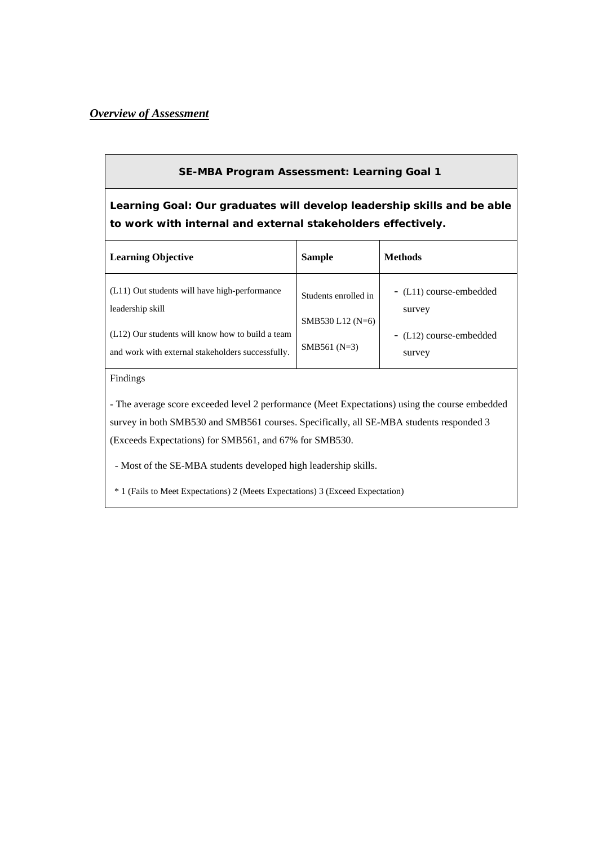## *Overview of Assessment*

## **SE-MBA Program Assessment: Learning Goal 1**

**Learning Goal: Our graduates will develop leadership skills and be able to work with internal and external stakeholders effectively.** 

| <b>Learning Objective</b>                                                                             | <b>Sample</b>                              | <b>Methods</b>                    |
|-------------------------------------------------------------------------------------------------------|--------------------------------------------|-----------------------------------|
| (L11) Out students will have high-performance<br>leadership skill                                     | Students enrolled in<br>SMB530 L12 $(N=6)$ | - (L11) course-embedded<br>survey |
| (L12) Our students will know how to build a team<br>and work with external stakeholders successfully. | SMB561 $(N=3)$                             | - (L12) course-embedded<br>survey |

## Findings

- The average score exceeded level 2 performance (Meet Expectations) using the course embedded survey in both SMB530 and SMB561 courses. Specifically, all SE-MBA students responded 3 (Exceeds Expectations) for SMB561, and 67% for SMB530.

- Most of the SE-MBA students developed high leadership skills.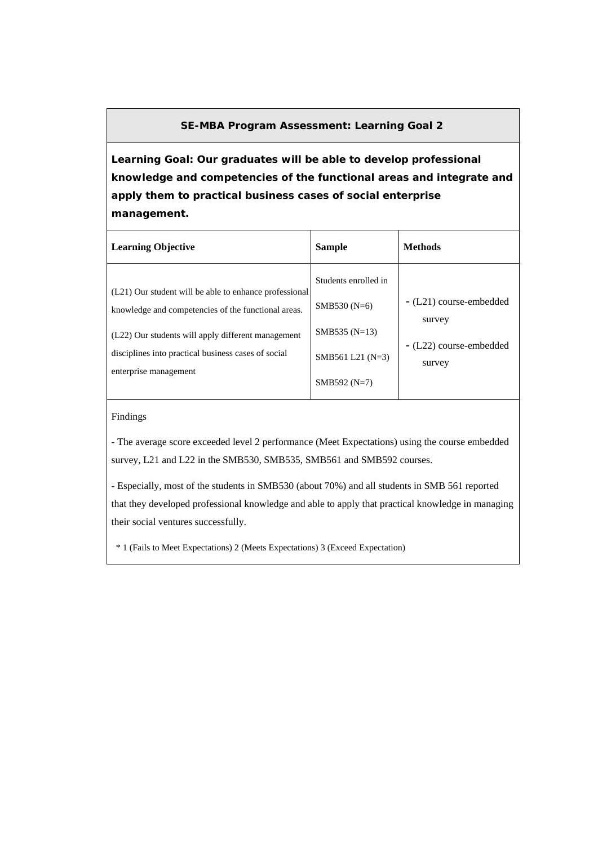**Learning Goal: Our graduates will be able to develop professional knowledge and competencies of the functional areas and integrate and apply them to practical business cases of social enterprise management.** 

| <b>Learning Objective</b>                                                                                                                                                                                                                           | <b>Sample</b>                                                                                 | <b>Methods</b>                                                         |
|-----------------------------------------------------------------------------------------------------------------------------------------------------------------------------------------------------------------------------------------------------|-----------------------------------------------------------------------------------------------|------------------------------------------------------------------------|
| (L21) Our student will be able to enhance professional<br>knowledge and competencies of the functional areas.<br>(L22) Our students will apply different management<br>disciplines into practical business cases of social<br>enterprise management | Students enrolled in<br>SMB530 $(N=6)$<br>SMB535 (N=13)<br>SMB561 L21 (N=3)<br>$SMB592 (N=7)$ | - (L21) course-embedded<br>survey<br>- (L22) course-embedded<br>survey |

### Findings

- The average score exceeded level 2 performance (Meet Expectations) using the course embedded survey, L21 and L22 in the SMB530, SMB535, SMB561 and SMB592 courses.

- Especially, most of the students in SMB530 (about 70%) and all students in SMB 561 reported that they developed professional knowledge and able to apply that practical knowledge in managing their social ventures successfully.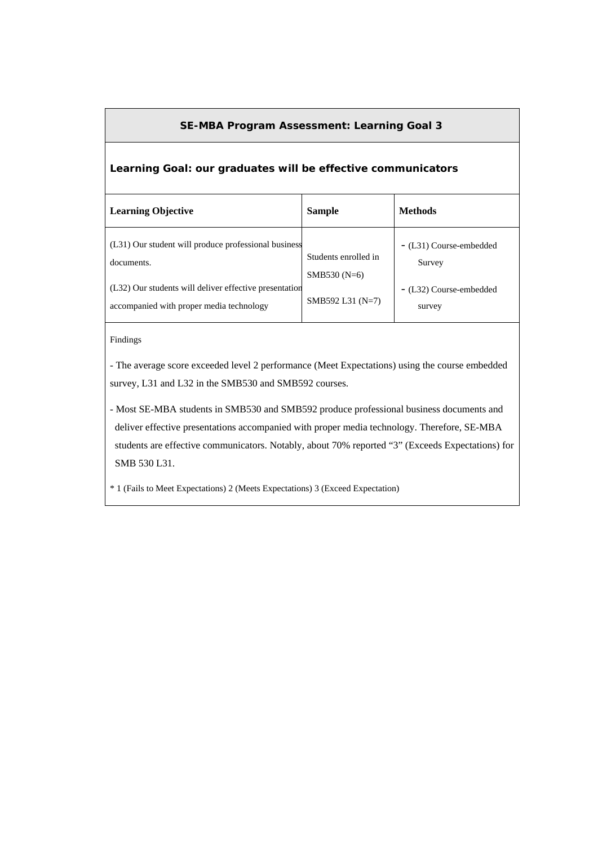### **Learning Goal: our graduates will be effective communicators**

| <b>Learning Objective</b>                                                                          | <b>Sample</b>                          | <b>Methods</b>                    |
|----------------------------------------------------------------------------------------------------|----------------------------------------|-----------------------------------|
| (L31) Our student will produce professional business<br>documents.                                 | Students enrolled in<br>SMB530 $(N=6)$ | - (L31) Course-embedded<br>Survey |
| (L32) Our students will deliver effective presentation<br>accompanied with proper media technology | SMB592 L31 (N=7)                       | - (L32) Course-embedded<br>survey |

Findings

- The average score exceeded level 2 performance (Meet Expectations) using the course embedded survey, L31 and L32 in the SMB530 and SMB592 courses.

- Most SE-MBA students in SMB530 and SMB592 produce professional business documents and deliver effective presentations accompanied with proper media technology. Therefore, SE-MBA students are effective communicators. Notably, about 70% reported "3" (Exceeds Expectations) for SMB 530 L31.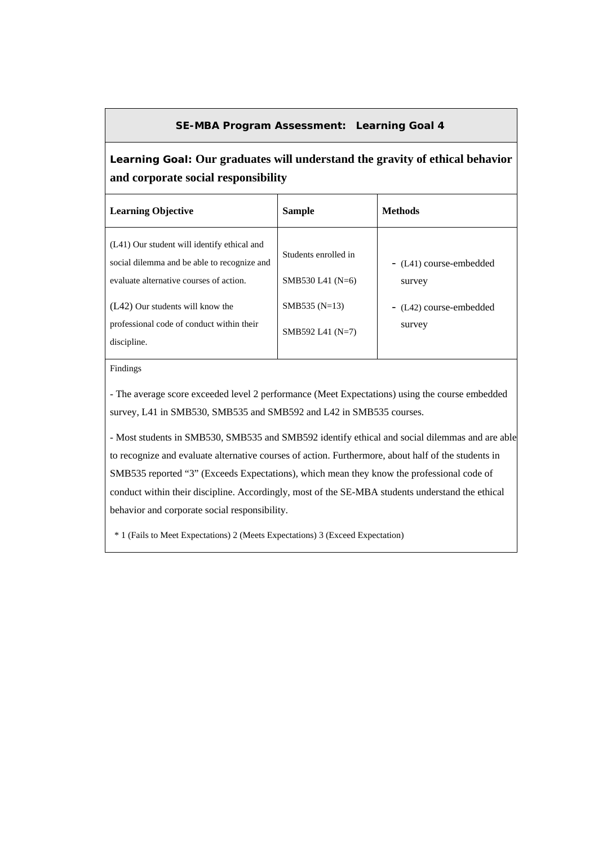# **Learning Goal: Our graduates will understand the gravity of ethical behavior and corporate social responsibility**

| <b>Learning Objective</b>                                                                                                             | <b>Sample</b>                              | <b>Methods</b>                    |
|---------------------------------------------------------------------------------------------------------------------------------------|--------------------------------------------|-----------------------------------|
| (L41) Our student will identify ethical and<br>social dilemma and be able to recognize and<br>evaluate alternative courses of action. | Students enrolled in<br>SMB530 L41 $(N=6)$ | - (L41) course-embedded<br>survey |
| (L42) Our students will know the<br>professional code of conduct within their<br>discipline.                                          | SMB535 $(N=13)$<br>SMB592 L41 $(N=7)$      | - (L42) course-embedded<br>survey |

Findings

- The average score exceeded level 2 performance (Meet Expectations) using the course embedded survey, L41 in SMB530, SMB535 and SMB592 and L42 in SMB535 courses.

- Most students in SMB530, SMB535 and SMB592 identify ethical and social dilemmas and are able to recognize and evaluate alternative courses of action. Furthermore, about half of the students in SMB535 reported "3" (Exceeds Expectations), which mean they know the professional code of conduct within their discipline. Accordingly, most of the SE-MBA students understand the ethical behavior and corporate social responsibility.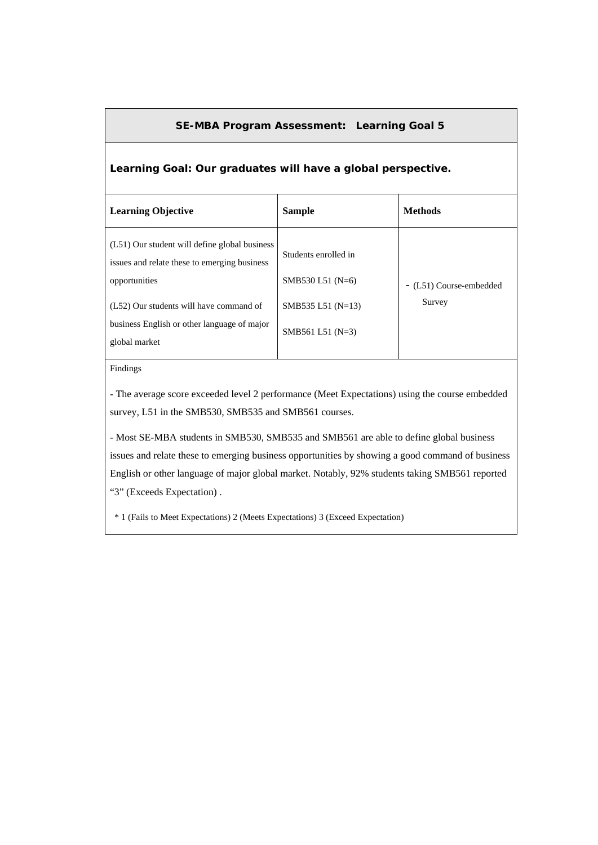## **Learning Goal: Our graduates will have a global perspective.**

| <b>Learning Objective</b>                                                                                                                                 | <b>Sample</b>                                                     | <b>Methods</b>                    |
|-----------------------------------------------------------------------------------------------------------------------------------------------------------|-------------------------------------------------------------------|-----------------------------------|
| (L51) Our student will define global business<br>issues and relate these to emerging business<br>opportunities<br>(L52) Our students will have command of | Students enrolled in<br>SMB530 L51 $(N=6)$<br>SMB535 L51 $(N=13)$ | - (L51) Course-embedded<br>Survey |
| business English or other language of major<br>global market                                                                                              | SMB561 L51 $(N=3)$                                                |                                   |

Findings

- The average score exceeded level 2 performance (Meet Expectations) using the course embedded survey, L51 in the SMB530, SMB535 and SMB561 courses.

- Most SE-MBA students in SMB530, SMB535 and SMB561 are able to define global business issues and relate these to emerging business opportunities by showing a good command of business English or other language of major global market. Notably, 92% students taking SMB561 reported "3" (Exceeds Expectation) .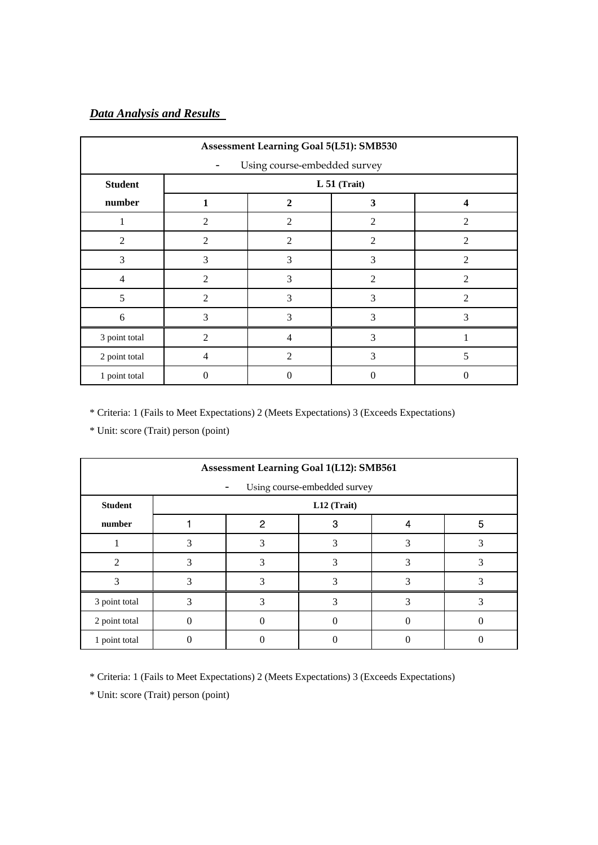# *Data Analysis and Results*

| Assessment Learning Goal 5(L51): SMB530 |                              |                |                |                  |  |  |  |  |
|-----------------------------------------|------------------------------|----------------|----------------|------------------|--|--|--|--|
|                                         | Using course-embedded survey |                |                |                  |  |  |  |  |
| <b>Student</b>                          |                              |                | $L 51$ (Trait) |                  |  |  |  |  |
| number                                  | 1                            | 2              | 3              | $\boldsymbol{4}$ |  |  |  |  |
| 1                                       | $\overline{2}$               | $\mathfrak{D}$ | $\overline{c}$ | $\mathfrak{D}$   |  |  |  |  |
| $\overline{2}$                          | $\overline{2}$               | $\mathfrak{D}$ | $\overline{c}$ | $\mathfrak{D}$   |  |  |  |  |
| 3                                       | 3                            | 3              | 3              | $\overline{2}$   |  |  |  |  |
| 4                                       | 2                            | 3              | $\overline{2}$ | $\overline{2}$   |  |  |  |  |
| 5                                       | $\overline{2}$               | 3              | 3              | $\overline{2}$   |  |  |  |  |
| 6                                       | 3                            | 3              | 3              | 3                |  |  |  |  |
| 3 point total                           | 2                            | 4              | 3              |                  |  |  |  |  |
| 2 point total                           | $\overline{4}$               | $\overline{2}$ | 3              | 5                |  |  |  |  |
| 1 point total                           | 0                            | $\Omega$       | 0              |                  |  |  |  |  |

\* Criteria: 1 (Fails to Meet Expectations) 2 (Meets Expectations) 3 (Exceeds Expectations)

\* Unit: score (Trait) person (point)

| Assessment Learning Goal 1(L12): SMB561 |   |   |                              |   |   |  |  |
|-----------------------------------------|---|---|------------------------------|---|---|--|--|
|                                         |   |   | Using course-embedded survey |   |   |  |  |
| <b>Student</b>                          |   |   | L12 (Trait)                  |   |   |  |  |
| number                                  |   | 2 | З                            |   | 5 |  |  |
|                                         | 3 |   |                              |   |   |  |  |
| っ                                       |   |   |                              |   |   |  |  |
|                                         |   |   | 3                            | 3 |   |  |  |
| 3 point total                           |   |   |                              |   |   |  |  |
| 2 point total                           |   |   |                              |   |   |  |  |
| 1 point total                           |   |   |                              |   |   |  |  |

\* Criteria: 1 (Fails to Meet Expectations) 2 (Meets Expectations) 3 (Exceeds Expectations)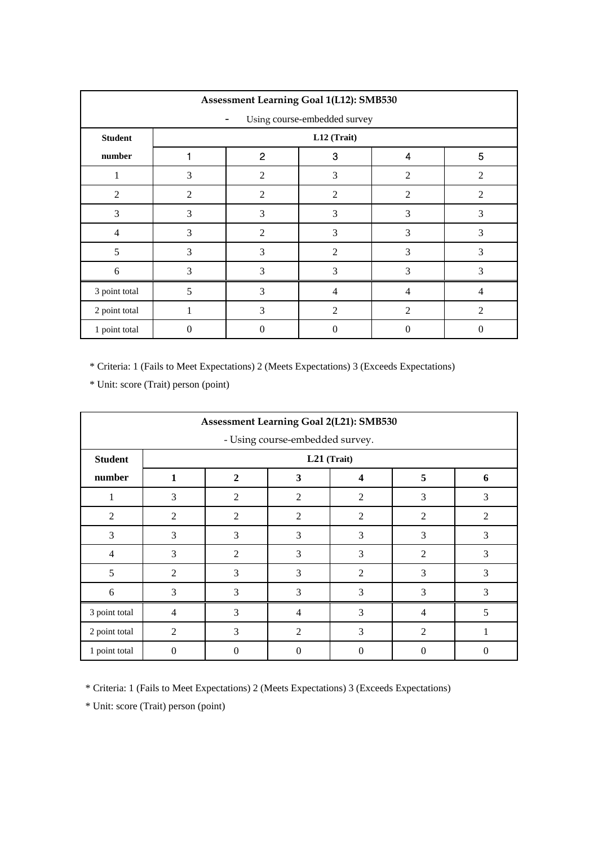| Assessment Learning Goal 1(L12): SMB530 |                |                |                              |                |                |
|-----------------------------------------|----------------|----------------|------------------------------|----------------|----------------|
|                                         |                |                | Using course-embedded survey |                |                |
| <b>Student</b>                          |                |                | L12 (Trait)                  |                |                |
| number                                  |                | $\overline{2}$ | 3                            | 4              | 5              |
| 1                                       | 3              | 2              | 3                            | $\overline{2}$ | $\overline{2}$ |
| $\overline{2}$                          | $\mathfrak{D}$ | $\overline{2}$ | 2                            | $\mathfrak{D}$ | $\mathfrak{D}$ |
| 3                                       | 3              | 3              | 3                            | 3              | 3              |
| $\overline{4}$                          | 3              | $\overline{2}$ | 3                            | 3              | 3              |
| 5                                       | 3              | 3              | $\overline{2}$               | 3              | 3              |
| 6                                       | 3              | 3              | 3                            | 3              | 3              |
| 3 point total                           | 5              | 3              | 4                            | 4              | $\overline{4}$ |
| 2 point total                           | $\mathbf{1}$   | 3              | $\overline{2}$               | $\overline{2}$ | $\overline{2}$ |
| 1 point total                           | $\Omega$       | 0              | $\theta$                     | 0              | $\Omega$       |

\* Unit: score (Trait) person (point)

|                | <b>Assessment Learning Goal 2(L21): SMB530</b> |                |                                 |                |                |   |
|----------------|------------------------------------------------|----------------|---------------------------------|----------------|----------------|---|
|                |                                                |                | - Using course-embedded survey. |                |                |   |
| <b>Student</b> |                                                |                |                                 | L21 (Trait)    |                |   |
| number         | 1                                              | $\mathbf{2}$   | 3                               | 4              | 5              | 6 |
| 1              | 3                                              | 2              | $\overline{2}$                  | 2              | 3              | 3 |
| 2              | $\overline{2}$                                 | 2              | $\overline{2}$                  | 2              | $\overline{2}$ | 2 |
| 3              | 3                                              | 3              | 3                               | 3              | 3              | 3 |
| $\overline{4}$ | 3                                              | $\overline{2}$ | 3                               | 3              | $\mathfrak{D}$ | 3 |
| 5              | 2                                              | 3              | 3                               | $\overline{2}$ | 3              | 3 |
| 6              | 3                                              | 3              | 3                               | 3              | 3              | 3 |
| 3 point total  | 4                                              | 3              | 4                               | 3              | $\overline{4}$ | 5 |
| 2 point total  | $\overline{2}$                                 | 3              | $\overline{2}$                  | 3              | $\overline{2}$ |   |
| 1 point total  | $\theta$                                       | 0              | $\Omega$                        | 0              | 0              | 0 |

\* Criteria: 1 (Fails to Meet Expectations) 2 (Meets Expectations) 3 (Exceeds Expectations)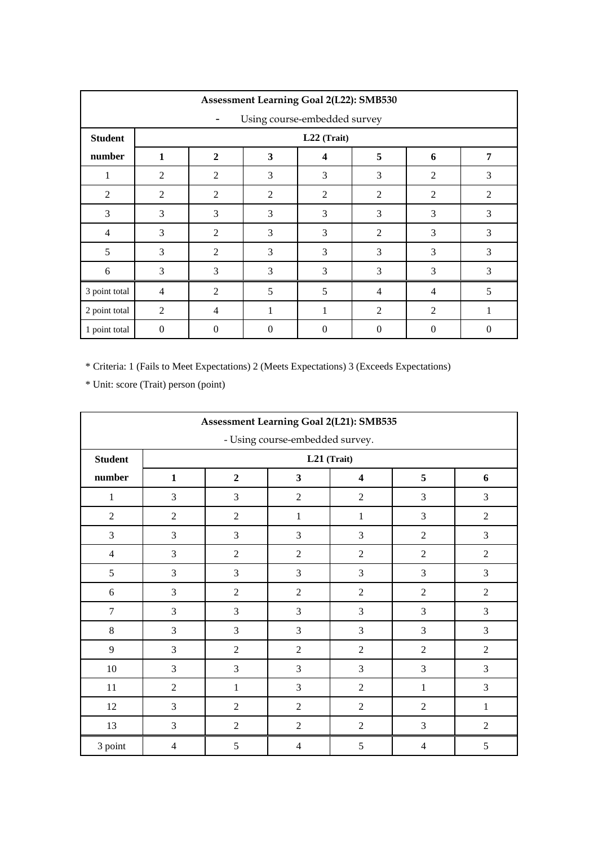| <b>Assessment Learning Goal 2(L22): SMB530</b> |                |                |                |                              |                |                |                |
|------------------------------------------------|----------------|----------------|----------------|------------------------------|----------------|----------------|----------------|
|                                                |                |                |                | Using course-embedded survey |                |                |                |
| <b>Student</b>                                 |                |                |                | L22 (Trait)                  |                |                |                |
| number                                         | 1              | $\mathbf{2}$   | 3              | $\boldsymbol{4}$             | 5              | 6              | 7              |
| 1                                              | 2              | $\overline{2}$ | 3              | 3                            | 3              | $\overline{2}$ | 3              |
| $\overline{2}$                                 | 2              | $\overline{2}$ | 2              | $\overline{2}$               | 2              | 2              | $\overline{2}$ |
| 3                                              | 3              | 3              | 3              | 3                            | 3              | 3              | 3              |
| $\overline{4}$                                 | 3              | $\overline{2}$ | 3              | 3                            | $\overline{2}$ | 3              | 3              |
| 5                                              | 3              | $\overline{2}$ | 3              | 3                            | 3              | 3              | 3              |
| 6                                              | $\mathfrak{Z}$ | 3              | 3              | 3                            | $\overline{3}$ | 3              | 3              |
| 3 point total                                  | $\overline{4}$ | $\overline{2}$ | 5              | 5                            | $\overline{4}$ | 4              | 5              |
| 2 point total                                  | $\overline{2}$ | $\overline{4}$ | 1              | 1                            | $\overline{2}$ | $\overline{2}$ | 1              |
| 1 point total                                  | $\Omega$       | $\Omega$       | $\overline{0}$ | $\Omega$                     | 0              | $\Omega$       | $\mathbf{0}$   |

|                                 |                |                | Assessment Learning Goal 2(L21): SMB535 |                |                |                |  |  |  |  |  |
|---------------------------------|----------------|----------------|-----------------------------------------|----------------|----------------|----------------|--|--|--|--|--|
| - Using course-embedded survey. |                |                |                                         |                |                |                |  |  |  |  |  |
| <b>Student</b>                  |                | L21 (Trait)    |                                         |                |                |                |  |  |  |  |  |
| number                          | $\mathbf{1}$   | $\overline{2}$ | $\overline{\mathbf{3}}$                 | 4              | 5              | 6              |  |  |  |  |  |
| $\mathbf{1}$                    | 3              | 3              | $\overline{2}$                          | $\overline{2}$ | 3              | 3              |  |  |  |  |  |
| $\overline{2}$                  | $\overline{2}$ | $\overline{2}$ | $\mathbf{1}$                            | $\mathbf{1}$   | 3              | $\overline{2}$ |  |  |  |  |  |
| $\overline{3}$                  | 3              | 3              | $\overline{3}$                          | 3              | $\overline{2}$ | 3              |  |  |  |  |  |
| $\overline{4}$                  | 3              | $\overline{2}$ | $\overline{2}$                          | $\overline{2}$ | $\overline{2}$ | $\overline{2}$ |  |  |  |  |  |
| 5                               | 3              | 3              | $\overline{3}$                          | 3              | 3              | 3              |  |  |  |  |  |
| 6                               | 3              | $\overline{2}$ | $\overline{2}$                          | $\overline{2}$ | $\overline{2}$ | $\overline{2}$ |  |  |  |  |  |
| $\overline{7}$                  | 3              | 3              | $\overline{3}$                          | 3              | 3              | 3              |  |  |  |  |  |
| $\,8\,$                         | 3              | 3              | $\overline{3}$                          | 3              | 3              | 3              |  |  |  |  |  |
| 9                               | 3              | $\overline{2}$ | $\overline{2}$                          | $\overline{2}$ | $\overline{2}$ | $\overline{2}$ |  |  |  |  |  |
| 10                              | $\overline{3}$ | 3              | $\overline{3}$                          | $\overline{3}$ | $\overline{3}$ | 3              |  |  |  |  |  |
| 11                              | $\overline{2}$ | $\mathbf{1}$   | $\overline{3}$                          | $\overline{2}$ | $\mathbf{1}$   | 3              |  |  |  |  |  |
| 12                              | 3              | $\overline{2}$ | 2                                       | $\overline{2}$ | $\overline{2}$ | $\mathbf{1}$   |  |  |  |  |  |
| 13                              | 3              | $\overline{2}$ | $\overline{2}$                          | $\overline{2}$ | 3              | $\overline{2}$ |  |  |  |  |  |
| 3 point                         | $\overline{4}$ | 5              | $\overline{4}$                          | 5              | $\overline{4}$ | 5              |  |  |  |  |  |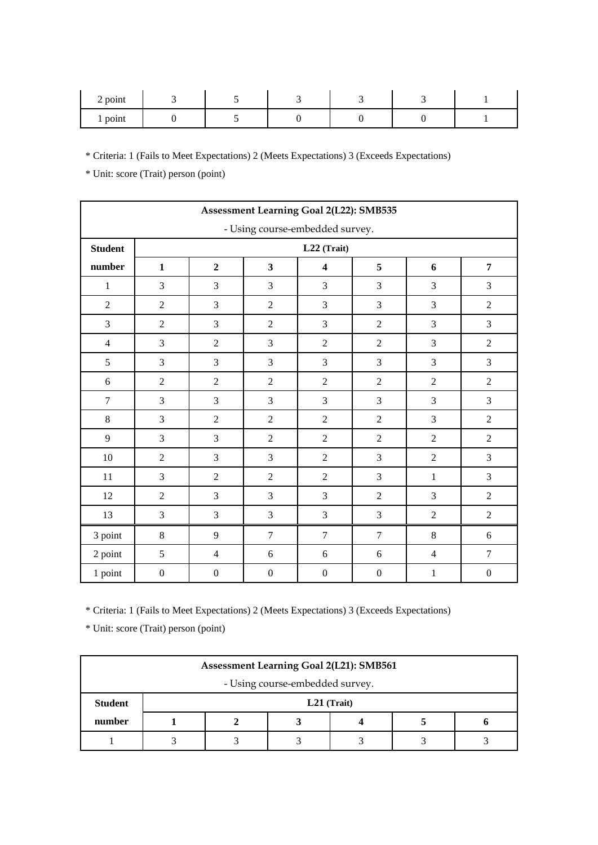| 2 point |  |  |  |
|---------|--|--|--|
| point   |  |  |  |

\* Unit: score (Trait) person (point)

|                | Assessment Learning Goal 2(L22): SMB535 |                  |                         |                         |                  |                |                  |  |  |  |  |  |
|----------------|-----------------------------------------|------------------|-------------------------|-------------------------|------------------|----------------|------------------|--|--|--|--|--|
|                | - Using course-embedded survey.         |                  |                         |                         |                  |                |                  |  |  |  |  |  |
| <b>Student</b> |                                         |                  |                         | $L22$ (Trait)           |                  |                |                  |  |  |  |  |  |
| number         | $\mathbf{1}$                            | $\overline{2}$   | $\overline{\mathbf{3}}$ | $\overline{\mathbf{4}}$ | 5                | 6              | $\overline{7}$   |  |  |  |  |  |
| $\mathbf{1}$   | 3                                       | 3                | 3                       | 3                       | 3                | 3              | 3                |  |  |  |  |  |
| $\sqrt{2}$     | $\overline{2}$                          | 3                | $\sqrt{2}$              | 3                       | 3                | 3              | $\overline{2}$   |  |  |  |  |  |
| 3              | $\overline{2}$                          | 3                | $\overline{2}$          | 3                       | $\overline{2}$   | 3              | 3                |  |  |  |  |  |
| $\overline{4}$ | 3                                       | $\overline{2}$   | 3                       | $\overline{2}$          | $\overline{2}$   | 3              | $\overline{2}$   |  |  |  |  |  |
| $\sqrt{5}$     | 3                                       | 3                | 3                       | 3                       | 3                | 3              | 3                |  |  |  |  |  |
| $\sqrt{6}$     | $\overline{2}$                          | $\overline{2}$   | $\overline{2}$          | $\overline{2}$          | $\overline{2}$   | $\overline{2}$ | $\overline{2}$   |  |  |  |  |  |
| $\overline{7}$ | 3                                       | 3                | 3                       | 3                       | 3                | 3              | 3                |  |  |  |  |  |
| $\,8\,$        | 3                                       | $\overline{2}$   | $\overline{2}$          | $\overline{2}$          | $\overline{2}$   | 3              | $\overline{2}$   |  |  |  |  |  |
| 9              | 3                                       | 3                | $\overline{2}$          | $\overline{2}$          | $\overline{2}$   | $\overline{2}$ | $\overline{2}$   |  |  |  |  |  |
| 10             | $\overline{2}$                          | 3                | 3                       | $\overline{2}$          | 3                | $\overline{2}$ | 3                |  |  |  |  |  |
| 11             | 3                                       | $\overline{2}$   | $\overline{2}$          | $\overline{2}$          | 3                | $\mathbf{1}$   | 3                |  |  |  |  |  |
| $12\,$         | $\overline{2}$                          | 3                | 3                       | 3                       | $\overline{2}$   | 3              | $\overline{2}$   |  |  |  |  |  |
| 13             | $\mathfrak 3$                           | $\mathfrak{Z}$   | 3                       | $\mathfrak{Z}$          | 3                | $\sqrt{2}$     | $\sqrt{2}$       |  |  |  |  |  |
| 3 point        | $\,8\,$                                 | 9                | $\tau$                  | $\overline{7}$          | $\overline{7}$   | $\,8\,$        | $\sqrt{6}$       |  |  |  |  |  |
| 2 point        | $\sqrt{5}$                              | $\overline{4}$   | 6                       | $\boldsymbol{6}$        | 6                | $\overline{4}$ | $\boldsymbol{7}$ |  |  |  |  |  |
| 1 point        | $\boldsymbol{0}$                        | $\boldsymbol{0}$ | $\boldsymbol{0}$        | $\boldsymbol{0}$        | $\boldsymbol{0}$ | $\,1$          | $\boldsymbol{0}$ |  |  |  |  |  |

\* Criteria: 1 (Fails to Meet Expectations) 2 (Meets Expectations) 3 (Exceeds Expectations)

| <b>Assessment Learning Goal 2(L21): SMB561</b> |  |               |  |  |  |  |  |  |
|------------------------------------------------|--|---------------|--|--|--|--|--|--|
| - Using course-embedded survey.                |  |               |  |  |  |  |  |  |
| <b>Student</b>                                 |  | $L21$ (Trait) |  |  |  |  |  |  |
| number                                         |  |               |  |  |  |  |  |  |
|                                                |  |               |  |  |  |  |  |  |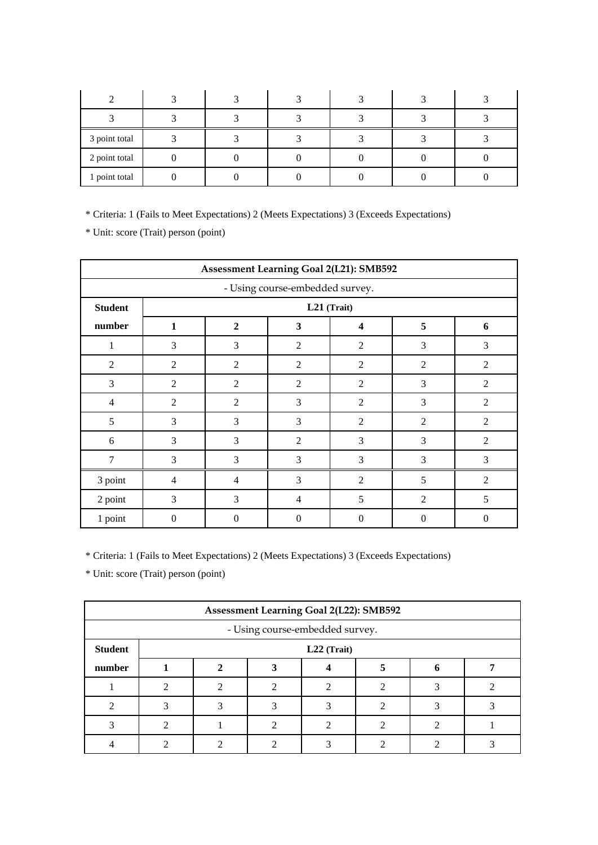| 3 point total |  |  |  |
|---------------|--|--|--|
| 2 point total |  |  |  |
| 1 point total |  |  |  |

\* Unit: score (Trait) person (point)

|                                 | Assessment Learning Goal 2(L21): SMB592 |                                                 |                |                |                |                |  |  |  |  |
|---------------------------------|-----------------------------------------|-------------------------------------------------|----------------|----------------|----------------|----------------|--|--|--|--|
| - Using course-embedded survey. |                                         |                                                 |                |                |                |                |  |  |  |  |
| <b>Student</b>                  |                                         | L21 (Trait)                                     |                |                |                |                |  |  |  |  |
| number                          | 1                                       | $\mathbf{2}$                                    | 3              | 4              | 5              | 6              |  |  |  |  |
| 1                               | 3                                       | 3                                               | $\overline{2}$ | $\overline{2}$ | 3              | 3              |  |  |  |  |
| $\overline{2}$                  | $\overline{2}$                          | $\overline{2}$                                  | $\overline{2}$ | $\overline{2}$ | 2              | $\overline{2}$ |  |  |  |  |
| 3                               | $\overline{2}$                          | $\overline{2}$                                  | $\overline{2}$ | $\overline{2}$ | 3              | $\overline{2}$ |  |  |  |  |
| $\overline{4}$                  | $\overline{2}$                          | $\overline{2}$                                  | 3              | $\overline{2}$ | 3              | $\overline{2}$ |  |  |  |  |
| 5                               | 3                                       | 3                                               | 3              | $\overline{2}$ | $\overline{2}$ | $\overline{2}$ |  |  |  |  |
| 6                               | 3                                       | 3                                               | $\overline{2}$ | 3              | 3              | $\overline{2}$ |  |  |  |  |
| 7                               | 3                                       | 3                                               | 3              | 3              | 3              | 3              |  |  |  |  |
| 3 point                         | $\overline{4}$                          | $\overline{4}$                                  | 3              | $\overline{2}$ | 5              | $\overline{2}$ |  |  |  |  |
| 2 point                         | 3                                       | 5<br>3<br>5<br>$\overline{2}$<br>$\overline{4}$ |                |                |                |                |  |  |  |  |
| 1 point                         | $\theta$                                | $\theta$                                        | $\theta$       | $\overline{0}$ | $\theta$       | $\Omega$       |  |  |  |  |

\* Criteria: 1 (Fails to Meet Expectations) 2 (Meets Expectations) 3 (Exceeds Expectations)

|                                 | <b>Assessment Learning Goal 2(L22): SMB592</b> |             |   |  |  |  |  |  |  |  |
|---------------------------------|------------------------------------------------|-------------|---|--|--|--|--|--|--|--|
| - Using course-embedded survey. |                                                |             |   |  |  |  |  |  |  |  |
| <b>Student</b>                  |                                                | L22 (Trait) |   |  |  |  |  |  |  |  |
| number                          |                                                |             |   |  |  |  |  |  |  |  |
|                                 |                                                |             |   |  |  |  |  |  |  |  |
|                                 |                                                |             | っ |  |  |  |  |  |  |  |
|                                 |                                                |             |   |  |  |  |  |  |  |  |
|                                 |                                                |             |   |  |  |  |  |  |  |  |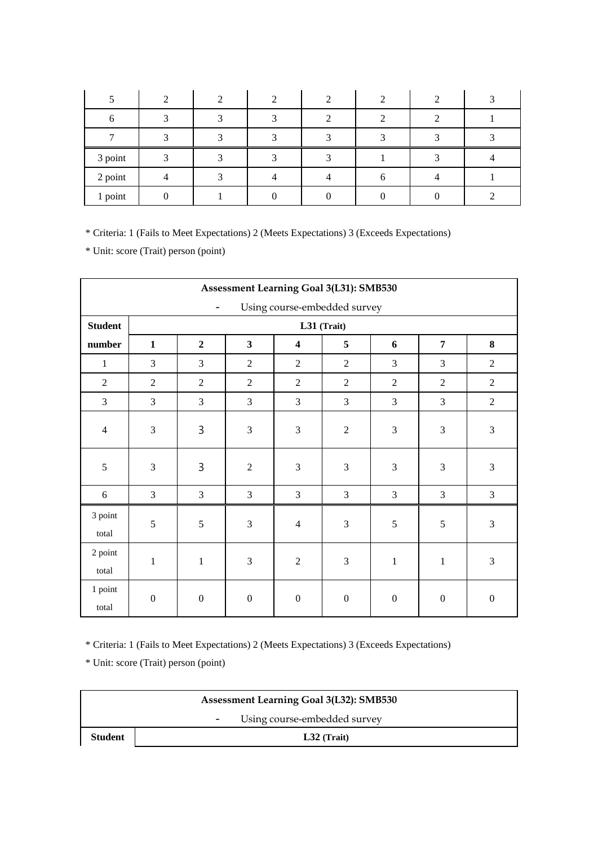| 3 point |  |  |  |  |
|---------|--|--|--|--|
| 2 point |  |  |  |  |
| 1 point |  |  |  |  |

\* Unit: score (Trait) person (point)

|                  | Assessment Learning Goal 3(L31): SMB530                  |                  |                         |                         |                  |                  |                  |                  |  |  |  |
|------------------|----------------------------------------------------------|------------------|-------------------------|-------------------------|------------------|------------------|------------------|------------------|--|--|--|
|                  | Using course-embedded survey<br>$\overline{\phantom{a}}$ |                  |                         |                         |                  |                  |                  |                  |  |  |  |
| <b>Student</b>   |                                                          | L31 (Trait)      |                         |                         |                  |                  |                  |                  |  |  |  |
| number           | $\mathbf{1}$                                             | $\overline{2}$   | $\overline{\mathbf{3}}$ | $\overline{\mathbf{4}}$ | 5                | 6                | $\overline{7}$   | 8                |  |  |  |
| $\mathbf{1}$     | 3                                                        | 3                | $\overline{2}$          | $\overline{2}$          | $\overline{2}$   | 3                | 3                | $\overline{2}$   |  |  |  |
| $\overline{2}$   | $\overline{2}$                                           | $\overline{2}$   | $\overline{2}$          | $\overline{2}$          | $\overline{2}$   | $\overline{2}$   | $\overline{2}$   | $\overline{2}$   |  |  |  |
| 3                | $\overline{3}$                                           | 3                | $\overline{3}$          | 3                       | $\overline{3}$   | 3                | 3                | $\overline{2}$   |  |  |  |
| $\overline{4}$   | $\mathfrak{Z}$                                           | 3                | 3                       | 3                       | $\overline{2}$   | 3                | 3                | 3                |  |  |  |
| $\sqrt{5}$       | 3                                                        | 3                | $\overline{2}$          | 3                       | 3                | 3                | 3                | $\mathfrak{Z}$   |  |  |  |
| 6                | $\overline{3}$                                           | $\overline{3}$   | $\overline{3}$          | $\overline{3}$          | $\overline{3}$   | 3                | $\overline{3}$   | 3                |  |  |  |
| 3 point<br>total | 5                                                        | 5                | 3                       | $\overline{4}$          | $\overline{3}$   | 5                | 5                | 3                |  |  |  |
| 2 point<br>total | $\mathbf{1}$                                             | $\mathbf{1}$     | 3                       | $\overline{2}$          | 3                | $\mathbf{1}$     | $\mathbf{1}$     | 3                |  |  |  |
| 1 point<br>total | $\boldsymbol{0}$                                         | $\boldsymbol{0}$ | $\boldsymbol{0}$        | $\boldsymbol{0}$        | $\boldsymbol{0}$ | $\boldsymbol{0}$ | $\boldsymbol{0}$ | $\boldsymbol{0}$ |  |  |  |

\* Criteria: 1 (Fails to Meet Expectations) 2 (Meets Expectations) 3 (Exceeds Expectations)

| <b>Assessment Learning Goal 3(L32): SMB530</b> |                              |  |  |  |  |  |  |
|------------------------------------------------|------------------------------|--|--|--|--|--|--|
|                                                | Using course-embedded survey |  |  |  |  |  |  |
| <b>Student</b>                                 | $L32$ (Trait)                |  |  |  |  |  |  |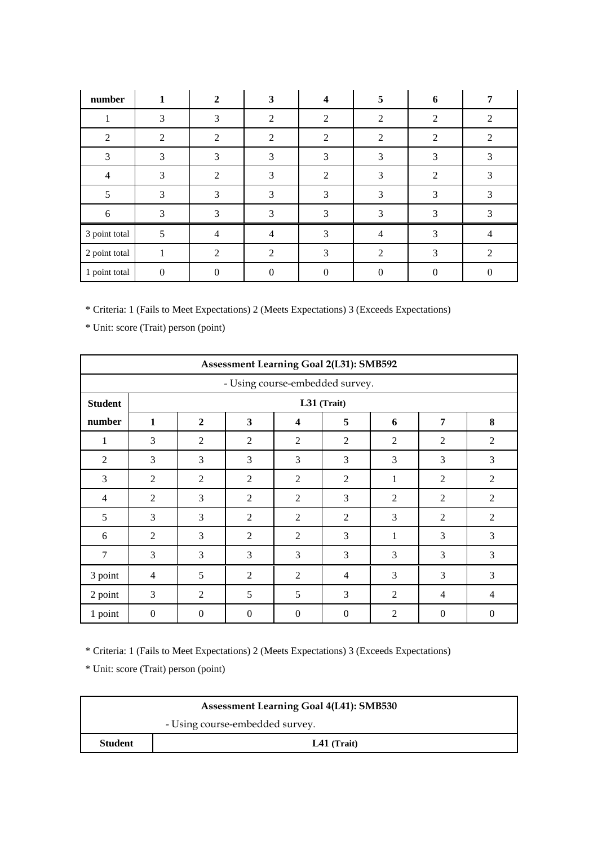| number         | 1              | $\overline{2}$ | 3              | 4              | 5                           | 6              |                |
|----------------|----------------|----------------|----------------|----------------|-----------------------------|----------------|----------------|
|                | 3              | 3              | 2              | $\overline{2}$ | $\mathfrak{D}$              | 2              | $\mathfrak{D}$ |
| $\overline{2}$ | $\overline{2}$ | $\overline{2}$ | $\mathfrak{D}$ | $\overline{2}$ | $\mathcal{D}_{\mathcal{A}}$ | 2              | 2              |
| 3              | 3              | 3              | 3              | 3              | 3                           | 3              | 3              |
| 4              | 3              | $\mathfrak{D}$ | 3              | $\overline{2}$ | 3                           | $\mathfrak{D}$ | 3              |
| 5              | 3              | 3              | 3              | 3              | 3                           | 3              | 3              |
| 6              | 3              | 3              | 3              | 3              | 3                           | 3              | 3              |
| 3 point total  | 5              | $\overline{4}$ | 4              | 3              | $\overline{4}$              | 3              | $\overline{4}$ |
| 2 point total  | 1              | $\overline{2}$ | $\overline{2}$ | 3              | $\mathcal{D}_{\mathcal{A}}$ | 3              | $\mathcal{L}$  |
| 1 point total  | 0              | $\Omega$       |                |                |                             |                |                |

\* Unit: score (Trait) person (point)

|                                 | <b>Assessment Learning Goal 2(L31): SMB592</b> |                |                |                |                |                |                |                |  |  |  |
|---------------------------------|------------------------------------------------|----------------|----------------|----------------|----------------|----------------|----------------|----------------|--|--|--|
| - Using course-embedded survey. |                                                |                |                |                |                |                |                |                |  |  |  |
| <b>Student</b>                  |                                                | L31 (Trait)    |                |                |                |                |                |                |  |  |  |
| number                          | $\mathbf{1}$                                   | $\mathbf{2}$   | 3              | 4              | 5              | 6              | 7              | 8              |  |  |  |
| 1                               | 3                                              | 2              | 2              | $\overline{2}$ | $\overline{2}$ | 2              | 2              | 2              |  |  |  |
| $\overline{2}$                  | 3                                              | 3              | 3              | 3              | 3              | 3              | 3              | 3              |  |  |  |
| 3                               | $\overline{2}$                                 | $\overline{2}$ | 2              | $\overline{2}$ | $\overline{2}$ | 1              | $\overline{2}$ | $\overline{2}$ |  |  |  |
| $\overline{4}$                  | $\overline{2}$                                 | 3              | $\overline{2}$ | $\overline{2}$ | 3              | 2              | $\overline{2}$ | $\mathfrak{2}$ |  |  |  |
| 5                               | 3                                              | 3              | $\overline{2}$ | $\overline{2}$ | $\overline{2}$ | 3              | $\overline{2}$ | $\overline{2}$ |  |  |  |
| 6                               | $\overline{2}$                                 | 3              | $\overline{2}$ | $\overline{2}$ | 3              | 1              | 3              | 3              |  |  |  |
| 7                               | 3                                              | 3              | 3              | 3              | 3              | 3              | 3              | 3              |  |  |  |
| 3 point                         | $\overline{4}$                                 | 5              | $\overline{2}$ | $\overline{2}$ | 4              | 3              | 3              | 3              |  |  |  |
| 2 point                         | 3                                              | $\overline{2}$ | 5              | 5              | 3              | $\overline{2}$ | $\overline{4}$ | $\overline{4}$ |  |  |  |
| 1 point                         | $\mathbf{0}$                                   | $\theta$       | $\mathbf{0}$   | $\mathbf{0}$   | $\theta$       | 2              | $\overline{0}$ | $\mathbf{0}$   |  |  |  |

\* Criteria: 1 (Fails to Meet Expectations) 2 (Meets Expectations) 3 (Exceeds Expectations)

| <b>Assessment Learning Goal 4(L41): SMB530</b> |  |  |  |  |
|------------------------------------------------|--|--|--|--|
| - Using course-embedded survey.                |  |  |  |  |
| <b>Student</b><br>$L41$ (Trait)                |  |  |  |  |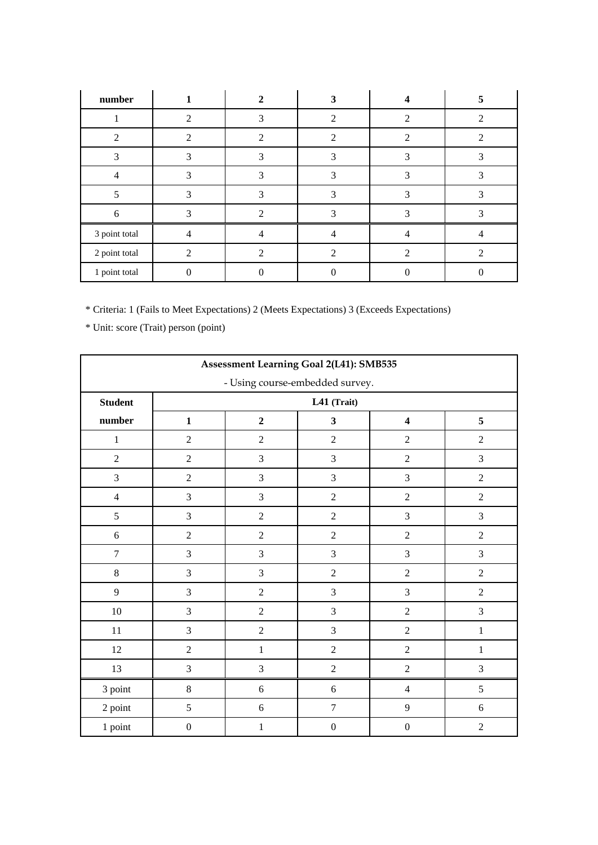| number         |                |   | 3                                                                                                                                                                    |   | 5              |
|----------------|----------------|---|----------------------------------------------------------------------------------------------------------------------------------------------------------------------|---|----------------|
|                | $\mathfrak{D}$ | 3 | $\mathcal{D}$                                                                                                                                                        |   | 2              |
| $\mathfrak{D}$ | $\mathfrak{D}$ | ာ | $\mathcal{D}_{\mathcal{A}}^{\mathcal{A}}(\mathcal{A}) = \mathcal{D}_{\mathcal{A}}^{\mathcal{A}}(\mathcal{A}) = \mathcal{D}_{\mathcal{A}}^{\mathcal{A}}(\mathcal{A})$ | 2 | ႒              |
| 3              | 3              | 3 | 3                                                                                                                                                                    | 3 | 3              |
| $\overline{4}$ | 3              |   | 3                                                                                                                                                                    |   |                |
|                |                |   | 3                                                                                                                                                                    | 3 |                |
| 6              | 3              | າ | 3                                                                                                                                                                    | 3 | 3              |
| 3 point total  | 4              |   | 4                                                                                                                                                                    |   | $\overline{4}$ |
| 2 point total  | $\mathfrak{D}$ | ႒ | റ                                                                                                                                                                    |   | ി              |
| 1 point total  |                |   |                                                                                                                                                                      |   |                |

| Assessment Learning Goal 2(L41): SMB535 |                  |                                                                           |                  |                  |                |  |  |  |  |
|-----------------------------------------|------------------|---------------------------------------------------------------------------|------------------|------------------|----------------|--|--|--|--|
| - Using course-embedded survey.         |                  |                                                                           |                  |                  |                |  |  |  |  |
| <b>Student</b>                          |                  |                                                                           | L41 (Trait)      |                  |                |  |  |  |  |
| number                                  | $\mathbf{1}$     | $\overline{2}$<br>$\overline{\mathbf{3}}$<br>5<br>$\overline{\mathbf{4}}$ |                  |                  |                |  |  |  |  |
| $\,1\,$                                 | $\boldsymbol{2}$ | $\sqrt{2}$                                                                | $\overline{2}$   | $\sqrt{2}$       | $\sqrt{2}$     |  |  |  |  |
| $\sqrt{2}$                              | $\sqrt{2}$       | 3                                                                         | 3                | $\boldsymbol{2}$ | $\mathfrak{Z}$ |  |  |  |  |
| 3                                       | $\overline{2}$   | 3                                                                         | 3                | 3                | $\overline{2}$ |  |  |  |  |
| $\overline{4}$                          | $\mathfrak{Z}$   | $\mathfrak{Z}$                                                            | $\overline{c}$   | $\overline{2}$   | $\sqrt{2}$     |  |  |  |  |
| 5                                       | $\mathfrak{Z}$   | $\sqrt{2}$                                                                | $\overline{2}$   | 3                | 3              |  |  |  |  |
| $\sqrt{6}$                              | $\sqrt{2}$       | $\overline{2}$                                                            | $\overline{c}$   | $\sqrt{2}$       | $\overline{2}$ |  |  |  |  |
| $\boldsymbol{7}$                        | 3                | 3                                                                         | 3                | 3                | $\mathfrak{Z}$ |  |  |  |  |
| $8\,$                                   | $\mathfrak{Z}$   | $\overline{3}$                                                            | $\overline{c}$   | $\sqrt{2}$       | $\sqrt{2}$     |  |  |  |  |
| 9                                       | $\mathfrak{Z}$   | $\sqrt{2}$                                                                | $\overline{3}$   | 3                | $\sqrt{2}$     |  |  |  |  |
| $10\,$                                  | 3                | $\overline{2}$                                                            | 3                | $\overline{2}$   | $\overline{3}$ |  |  |  |  |
| 11                                      | $\mathfrak{Z}$   | $\overline{2}$                                                            | $\overline{3}$   | $\sqrt{2}$       | $\,1$          |  |  |  |  |
| $12\,$                                  | $\overline{c}$   | $\,1$                                                                     | $\overline{c}$   | $\boldsymbol{2}$ | $\,1$          |  |  |  |  |
| 13                                      | $\mathfrak{Z}$   | $\overline{3}$                                                            | $\mathbf 2$      | $\boldsymbol{2}$ | $\mathfrak{Z}$ |  |  |  |  |
| 3 point                                 | $\,8\,$          | $\sqrt{6}$                                                                | $\sqrt{6}$       | $\overline{4}$   | $\sqrt{5}$     |  |  |  |  |
| 2 point                                 | 5                | $\sqrt{6}$                                                                | $\boldsymbol{7}$ | 9                | 6              |  |  |  |  |
| 1 point                                 | $\boldsymbol{0}$ | $\mathbf 1$                                                               | $\boldsymbol{0}$ | $\boldsymbol{0}$ | $\overline{2}$ |  |  |  |  |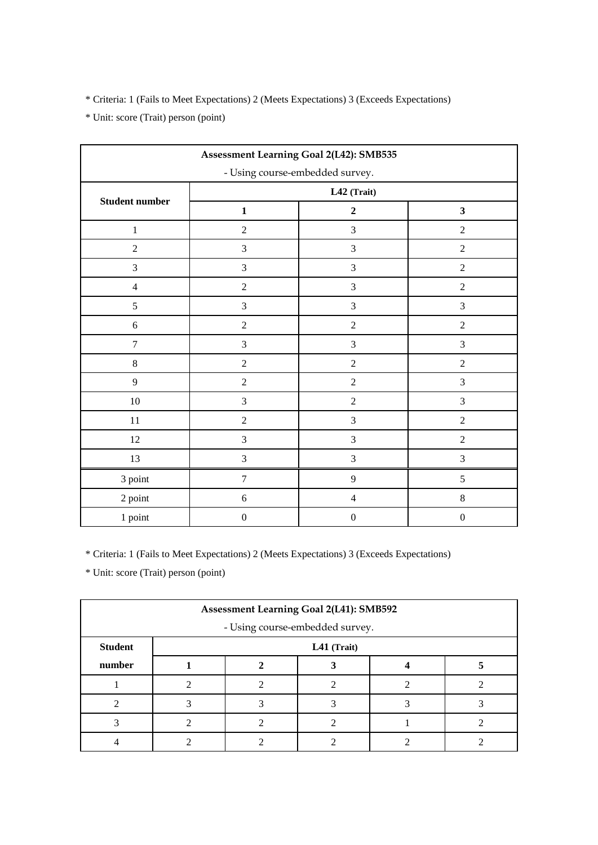\* Unit: score (Trait) person (point)

| Assessment Learning Goal 2(L42): SMB535 |                  |                  |                         |  |  |  |
|-----------------------------------------|------------------|------------------|-------------------------|--|--|--|
| - Using course-embedded survey.         |                  |                  |                         |  |  |  |
|                                         | L42 (Trait)      |                  |                         |  |  |  |
| Student number                          | $\mathbf{1}$     | $\mathbf 2$      | $\overline{\mathbf{3}}$ |  |  |  |
| $\,1$                                   | $\boldsymbol{2}$ | $\overline{3}$   | $\sqrt{2}$              |  |  |  |
| $\sqrt{2}$                              | $\mathfrak{Z}$   | 3                | $\sqrt{2}$              |  |  |  |
| 3                                       | $\mathfrak{Z}$   | 3                | $\overline{2}$          |  |  |  |
| $\overline{4}$                          | $\sqrt{2}$       | 3                | $\sqrt{2}$              |  |  |  |
| 5                                       | $\mathfrak{Z}$   | 3                | $\mathfrak{Z}$          |  |  |  |
| 6                                       | $\boldsymbol{2}$ | $\boldsymbol{2}$ | $\boldsymbol{2}$        |  |  |  |
| $\overline{7}$                          | $\mathfrak{Z}$   | $\mathfrak{Z}$   | $\mathfrak{Z}$          |  |  |  |
| $\,8\,$                                 | $\sqrt{2}$       | $\overline{2}$   | $\sqrt{2}$              |  |  |  |
| 9                                       | $\sqrt{2}$       | $\sqrt{2}$       | $\mathfrak{Z}$          |  |  |  |
| $10\,$                                  | $\mathfrak{Z}$   | $\sqrt{2}$       | 3                       |  |  |  |
| $11\,$                                  | $\sqrt{2}$       | 3                | $\sqrt{2}$              |  |  |  |
| $12\,$                                  | $\mathfrak{Z}$   | 3                | $\sqrt{2}$              |  |  |  |
| 13                                      | $\mathfrak{Z}$   | $\mathfrak{Z}$   | $\mathfrak{Z}$          |  |  |  |
| 3 point                                 | $\boldsymbol{7}$ | 9                | $\sqrt{5}$              |  |  |  |
| 2 point                                 | $\sqrt{6}$       | $\overline{4}$   | $8\,$                   |  |  |  |
| 1 point                                 | $\boldsymbol{0}$ | $\boldsymbol{0}$ | $\boldsymbol{0}$        |  |  |  |

\* Criteria: 1 (Fails to Meet Expectations) 2 (Meets Expectations) 3 (Exceeds Expectations)

| <b>Assessment Learning Goal 2(L41): SMB592</b> |  |  |             |  |  |  |
|------------------------------------------------|--|--|-------------|--|--|--|
| - Using course-embedded survey.                |  |  |             |  |  |  |
| <b>Student</b>                                 |  |  | L41 (Trait) |  |  |  |
| number                                         |  |  |             |  |  |  |
|                                                |  |  |             |  |  |  |
|                                                |  |  |             |  |  |  |
|                                                |  |  |             |  |  |  |
|                                                |  |  |             |  |  |  |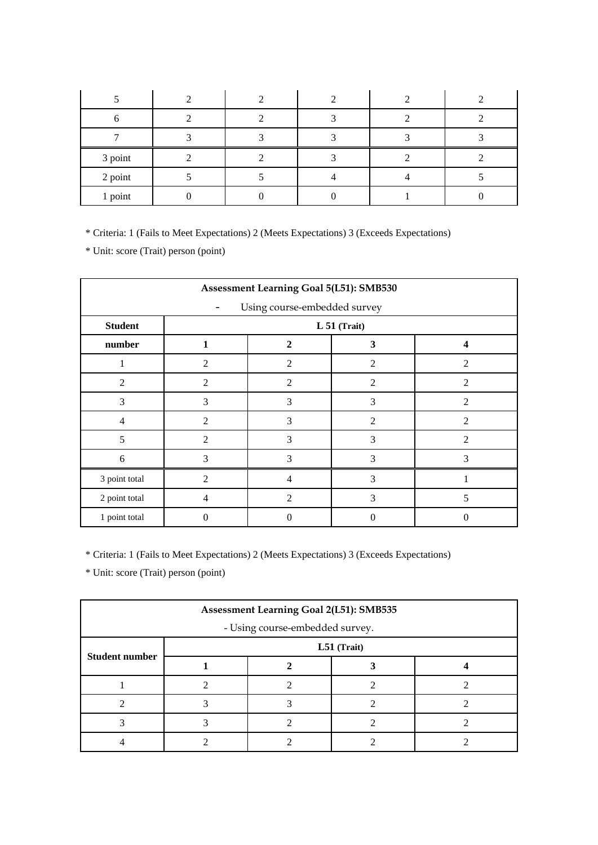| 3 point |  |  |  |
|---------|--|--|--|
| 2 point |  |  |  |
| 1 point |  |  |  |

\* Unit: score (Trait) person (point)

| Assessment Learning Goal 5(L51): SMB530 |                |                                              |                |                          |  |  |  |  |
|-----------------------------------------|----------------|----------------------------------------------|----------------|--------------------------|--|--|--|--|
| Using course-embedded survey            |                |                                              |                |                          |  |  |  |  |
| <b>Student</b>                          |                | $L 51$ (Trait)                               |                |                          |  |  |  |  |
| number                                  | 1              | $\mathbf{2}$<br>3<br>$\overline{\mathbf{4}}$ |                |                          |  |  |  |  |
|                                         | $\overline{2}$ | $\overline{2}$                               | $\mathfrak{2}$ | $\overline{2}$           |  |  |  |  |
| $\overline{2}$                          | $\overline{2}$ | $\overline{2}$                               | $\overline{2}$ | $\overline{2}$           |  |  |  |  |
| 3                                       | 3              | 3                                            | 3              | $\mathfrak{D}$           |  |  |  |  |
| 4                                       | $\overline{2}$ | 3                                            | $\overline{2}$ | $\overline{\mathcal{L}}$ |  |  |  |  |
| 5                                       | $\overline{2}$ | 3                                            | 3              | $\overline{2}$           |  |  |  |  |
| 6                                       | 3              | 3                                            | 3              | 3                        |  |  |  |  |
| 3 point total                           | $\overline{2}$ | 4                                            | 3              |                          |  |  |  |  |
| 2 point total                           | $\overline{4}$ | 3<br>5<br>$\overline{2}$                     |                |                          |  |  |  |  |
| 1 point total                           | 0              | 0                                            | 0              |                          |  |  |  |  |

\* Criteria: 1 (Fails to Meet Expectations) 2 (Meets Expectations) 3 (Exceeds Expectations)

| Assessment Learning Goal 2(L51): SMB535 |             |  |  |  |  |  |  |  |
|-----------------------------------------|-------------|--|--|--|--|--|--|--|
| - Using course-embedded survey.         |             |  |  |  |  |  |  |  |
|                                         | L51 (Trait) |  |  |  |  |  |  |  |
| <b>Student number</b>                   |             |  |  |  |  |  |  |  |
|                                         |             |  |  |  |  |  |  |  |
|                                         |             |  |  |  |  |  |  |  |
|                                         |             |  |  |  |  |  |  |  |
|                                         |             |  |  |  |  |  |  |  |